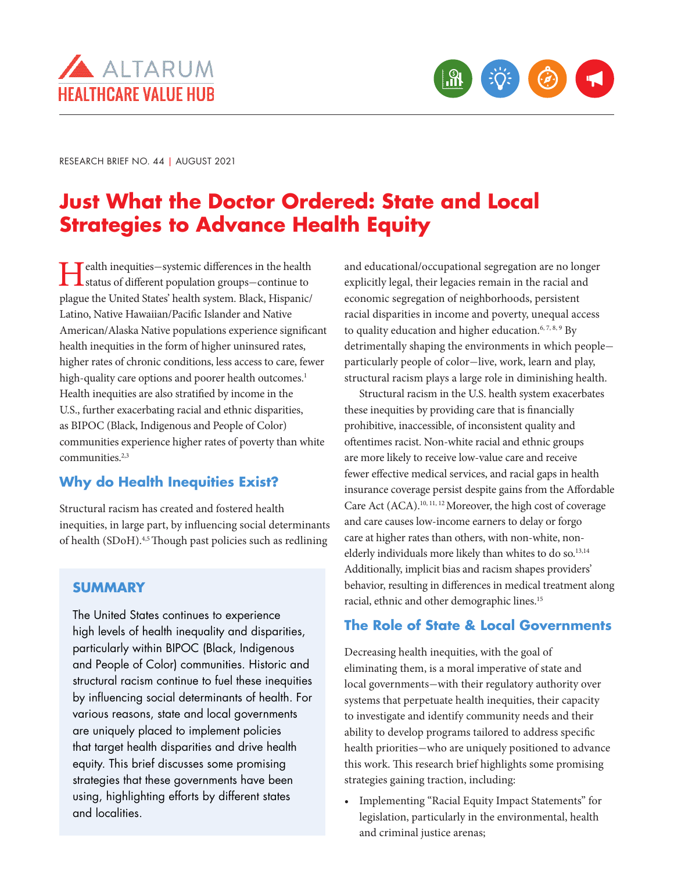



RESEARCH BRIEF NO. 44 | AUGUST 2021

# **Just What the Doctor Ordered: State and Local Strategies to Advance Health Equity**

Health inequities—systemic differences in the health status of different population groups—continue to plague the United States' health system. Black, Hispanic/ Latino, Native Hawaiian/Pacific Islander and Native American/Alaska Native populations experience significant health inequities in the form of higher uninsured rates, higher rates of chronic conditions, less access to care, fewer high-quality care options and poorer health outcomes.<sup>1</sup> Health inequities are also stratified by income in the U.S., further exacerbating racial and ethnic disparities, as BIPOC (Black, Indigenous and People of Color) communities experience higher rates of poverty than white communities.<sup>2,3</sup>

# **Why do Health Inequities Exist?**

Structural racism has created and fostered health inequities, in large part, by influencing social determinants of health (SDoH).4,5 Though past policies such as redlining

# **SUMMARY**

The United States continues to experience high levels of health inequality and disparities, particularly within BIPOC (Black, Indigenous and People of Color) communities. Historic and structural racism continue to fuel these inequities by influencing social determinants of health. For various reasons, state and local governments are uniquely placed to implement policies that target health disparities and drive health equity. This brief discusses some promising strategies that these governments have been using, highlighting efforts by different states and localities.

and educational/occupational segregation are no longer explicitly legal, their legacies remain in the racial and economic segregation of neighborhoods, persistent racial disparities in income and poverty, unequal access to quality education and higher education.<sup>6, 7, 8, 9</sup> By detrimentally shaping the environments in which people particularly people of color—live, work, learn and play, structural racism plays a large role in diminishing health.

Structural racism in the U.S. health system exacerbates these inequities by providing care that is financially prohibitive, inaccessible, of inconsistent quality and oftentimes racist. Non-white racial and ethnic groups are more likely to receive low-value care and receive fewer effective medical services, and racial gaps in health insurance coverage persist despite gains from the Affordable Care Act (ACA).10, 11, 12 Moreover, the high cost of coverage and care causes low-income earners to delay or forgo care at higher rates than others, with non-white, nonelderly individuals more likely than whites to do so.<sup>13,14</sup> Additionally, implicit bias and racism shapes providers' behavior, resulting in differences in medical treatment along racial, ethnic and other demographic lines.15

# **The Role of State & Local Governments**

Decreasing health inequities, with the goal of eliminating them, is a moral imperative of state and local governments—with their regulatory authority over systems that perpetuate health inequities, their capacity to investigate and identify community needs and their ability to develop programs tailored to address specific health priorities—who are uniquely positioned to advance this work. This research brief highlights some promising strategies gaining traction, including:

• Implementing "Racial Equity Impact Statements" for legislation, particularly in the environmental, health and criminal justice arenas;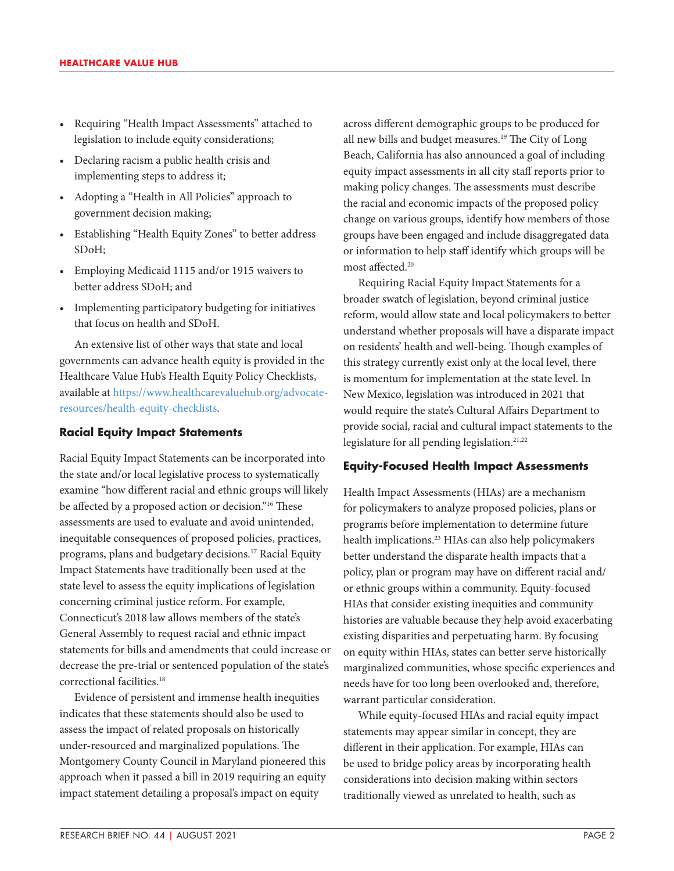- Requiring "Health Impact Assessments" attached to legislation to include equity considerations;
- Declaring racism a public health crisis and implementing steps to address it;
- Adopting a "Health in All Policies" approach to government decision making;
- Establishing "Health Equity Zones" to better address SDoH;
- Employing Medicaid 1115 and/or 1915 waivers to better address SDoH; and
- Implementing participatory budgeting for initiatives that focus on health and SDoH.

An extensive list of other ways that state and local governments can advance health equity is provided in the Healthcare Value Hub's Health Equity Policy Checklists, available at https://www.healthcarevaluehub.org/advocateresources/health-equity-checklists.

#### **Racial Equity Impact Statements**

Racial Equity Impact Statements can be incorporated into the state and/or local legislative process to systematically examine "how different racial and ethnic groups will likely be affected by a proposed action or decision."<sup>16</sup> These assessments are used to evaluate and avoid unintended, inequitable consequences of proposed policies, practices, programs, plans and budgetary decisions.17 Racial Equity Impact Statements have traditionally been used at the state level to assess the equity implications of legislation concerning criminal justice reform. For example, Connecticut's 2018 law allows members of the state's General Assembly to request racial and ethnic impact statements for bills and amendments that could increase or decrease the pre-trial or sentenced population of the state's correctional facilities.<sup>18</sup>

Evidence of persistent and immense health inequities indicates that these statements should also be used to assess the impact of related proposals on historically under-resourced and marginalized populations. The Montgomery County Council in Maryland pioneered this approach when it passed a bill in 2019 requiring an equity impact statement detailing a proposal's impact on equity

across different demographic groups to be produced for all new bills and budget measures.<sup>19</sup> The City of Long Beach, California has also announced a goal of including equity impact assessments in all city staff reports prior to making policy changes. The assessments must describe the racial and economic impacts of the proposed policy change on various groups, identify how members of those groups have been engaged and include disaggregated data or information to help staff identify which groups will be most affected.20

Requiring Racial Equity Impact Statements for a broader swatch of legislation, beyond criminal justice reform, would allow state and local policymakers to better understand whether proposals will have a disparate impact on residents' health and well-being. Though examples of this strategy currently exist only at the local level, there is momentum for implementation at the state level. In New Mexico, legislation was introduced in 2021 that would require the state's Cultural Affairs Department to provide social, racial and cultural impact statements to the legislature for all pending legislation.<sup>21,22</sup>

## **Equity-Focused Health Impact Assessments**

Health Impact Assessments (HIAs) are a mechanism for policymakers to analyze proposed policies, plans or programs before implementation to determine future health implications.<sup>23</sup> HIAs can also help policymakers better understand the disparate health impacts that a policy, plan or program may have on different racial and/ or ethnic groups within a community. Equity-focused HIAs that consider existing inequities and community histories are valuable because they help avoid exacerbating existing disparities and perpetuating harm. By focusing on equity within HIAs, states can better serve historically marginalized communities, whose specific experiences and needs have for too long been overlooked and, therefore, warrant particular consideration.

While equity-focused HIAs and racial equity impact statements may appear similar in concept, they are different in their application. For example, HIAs can be used to bridge policy areas by incorporating health considerations into decision making within sectors traditionally viewed as unrelated to health, such as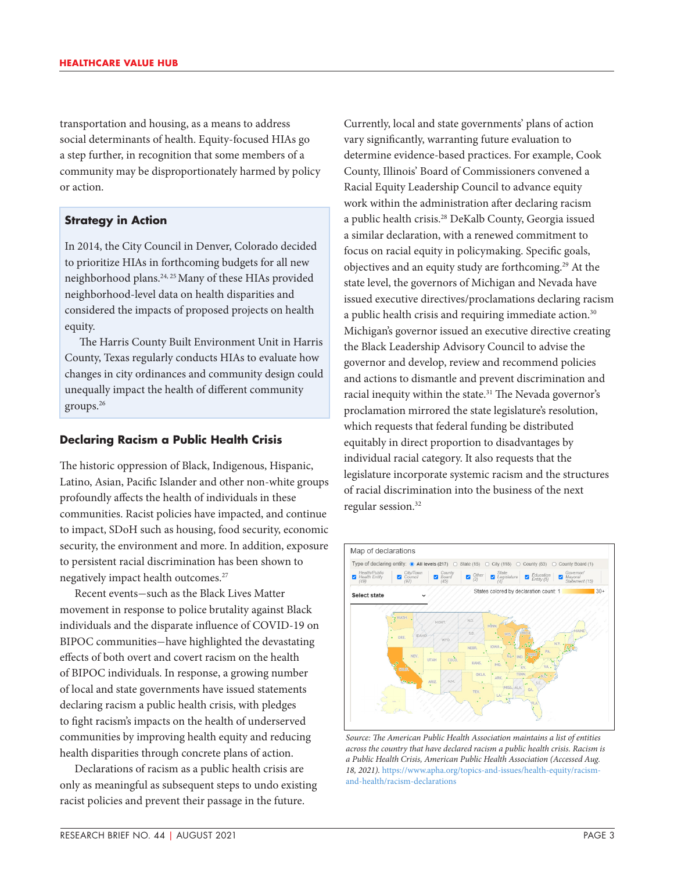transportation and housing, as a means to address social determinants of health. Equity-focused HIAs go a step further, in recognition that some members of a community may be disproportionately harmed by policy or action.

#### **Strategy in Action**

In 2014, the City Council in Denver, Colorado decided to prioritize HIAs in forthcoming budgets for all new neighborhood plans.<sup>24, 25</sup> Many of these HIAs provided neighborhood-level data on health disparities and considered the impacts of proposed projects on health equity.

The Harris County Built Environment Unit in Harris County, Texas regularly conducts HIAs to evaluate how changes in city ordinances and community design could unequally impact the health of different community groups.26

#### **Declaring Racism a Public Health Crisis**

The historic oppression of Black, Indigenous, Hispanic, Latino, Asian, Pacific Islander and other non-white groups profoundly affects the health of individuals in these communities. Racist policies have impacted, and continue to impact, SDoH such as housing, food security, economic security, the environment and more. In addition, exposure to persistent racial discrimination has been shown to negatively impact health outcomes.<sup>27</sup>

Recent events—such as the Black Lives Matter movement in response to police brutality against Black individuals and the disparate influence of COVID-19 on BIPOC communities—have highlighted the devastating effects of both overt and covert racism on the health of BIPOC individuals. In response, a growing number of local and state governments have issued statements declaring racism a public health crisis, with pledges to fight racism's impacts on the health of underserved communities by improving health equity and reducing health disparities through concrete plans of action.

Declarations of racism as a public health crisis are only as meaningful as subsequent steps to undo existing racist policies and prevent their passage in the future.

Currently, local and state governments' plans of action vary significantly, warranting future evaluation to determine evidence-based practices. For example, Cook County, Illinois' Board of Commissioners convened a Racial Equity Leadership Council to advance equity work within the administration after declaring racism a public health crisis.28 DeKalb County, Georgia issued a similar declaration, with a renewed commitment to focus on racial equity in policymaking. Specific goals, objectives and an equity study are forthcoming.29 At the state level, the governors of Michigan and Nevada have issued executive directives/proclamations declaring racism a public health crisis and requiring immediate action.<sup>30</sup> Michigan's governor issued an executive directive creating the Black Leadership Advisory Council to advise the governor and develop, review and recommend policies and actions to dismantle and prevent discrimination and racial inequity within the state.<sup>31</sup> The Nevada governor's proclamation mirrored the state legislature's resolution, which requests that federal funding be distributed equitably in direct proportion to disadvantages by individual racial category. It also requests that the legislature incorporate systemic racism and the structures of racial discrimination into the business of the next regular session.<sup>32</sup>



*Source: The American Public Health Association maintains a list of entities across the country that have declared racism a public health crisis. Racism is a Public Health Crisis, American Public Health Association (Accessed Aug. 18, 2021).* [https://www.apha.org/topics-and-issues/health-equity/racism](https://www.apha.org/topics-and-issues/health-equity/racism-and-health/racism-declarations)[and-health/racism-declarations](https://www.apha.org/topics-and-issues/health-equity/racism-and-health/racism-declarations)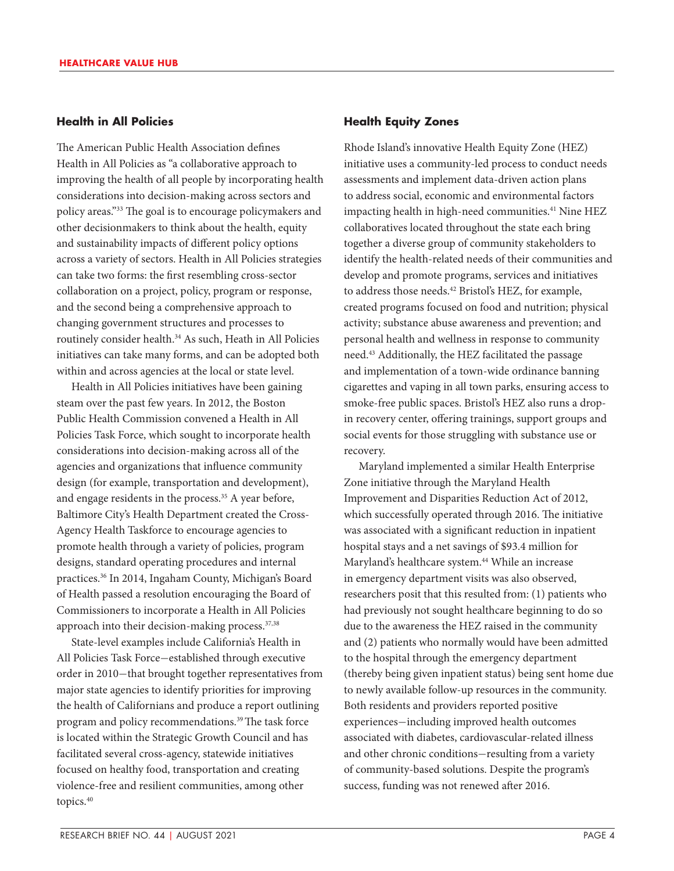## **Health in All Policies**

The American Public Health Association defines Health in All Policies as "a collaborative approach to improving the health of all people by incorporating health considerations into decision-making across sectors and policy areas."33 The goal is to encourage policymakers and other decisionmakers to think about the health, equity and sustainability impacts of different policy options across a variety of sectors. Health in All Policies strategies can take two forms: the first resembling cross-sector collaboration on a project, policy, program or response, and the second being a comprehensive approach to changing government structures and processes to routinely consider health.<sup>34</sup> As such, Heath in All Policies initiatives can take many forms, and can be adopted both within and across agencies at the local or state level.

Health in All Policies initiatives have been gaining steam over the past few years. In 2012, the Boston Public Health Commission convened a Health in All Policies Task Force, which sought to incorporate health considerations into decision-making across all of the agencies and organizations that influence community design (for example, transportation and development), and engage residents in the process.<sup>35</sup> A year before, Baltimore City's Health Department created the Cross-Agency Health Taskforce to encourage agencies to promote health through a variety of policies, program designs, standard operating procedures and internal practices.36 In 2014, Ingaham County, Michigan's Board of Health passed a resolution encouraging the Board of Commissioners to incorporate a Health in All Policies approach into their decision-making process.<sup>37,38</sup>

State-level examples include California's Health in All Policies Task Force—established through executive order in 2010—that brought together representatives from major state agencies to identify priorities for improving the health of Californians and produce a report outlining program and policy recommendations.<sup>39</sup> The task force is located within the Strategic Growth Council and has facilitated several cross-agency, statewide initiatives focused on healthy food, transportation and creating violence-free and resilient communities, among other topics.40

#### **Health Equity Zones**

Rhode Island's innovative Health Equity Zone (HEZ) initiative uses a community-led process to conduct needs assessments and implement data-driven action plans to address social, economic and environmental factors impacting health in high-need communities.<sup>41</sup> Nine HEZ collaboratives located throughout the state each bring together a diverse group of community stakeholders to identify the health-related needs of their communities and develop and promote programs, services and initiatives to address those needs.42 Bristol's HEZ, for example, created programs focused on food and nutrition; physical activity; substance abuse awareness and prevention; and personal health and wellness in response to community need.43 Additionally, the HEZ facilitated the passage and implementation of a town-wide ordinance banning cigarettes and vaping in all town parks, ensuring access to smoke-free public spaces. Bristol's HEZ also runs a dropin recovery center, offering trainings, support groups and social events for those struggling with substance use or recovery.

Maryland implemented a similar Health Enterprise Zone initiative through the Maryland Health Improvement and Disparities Reduction Act of 2012, which successfully operated through 2016. The initiative was associated with a significant reduction in inpatient hospital stays and a net savings of \$93.4 million for Maryland's healthcare system.<sup>44</sup> While an increase in emergency department visits was also observed, researchers posit that this resulted from: (1) patients who had previously not sought healthcare beginning to do so due to the awareness the HEZ raised in the community and (2) patients who normally would have been admitted to the hospital through the emergency department (thereby being given inpatient status) being sent home due to newly available follow-up resources in the community. Both residents and providers reported positive experiences—including improved health outcomes associated with diabetes, cardiovascular-related illness and other chronic conditions—resulting from a variety of community-based solutions. Despite the program's success, funding was not renewed after 2016.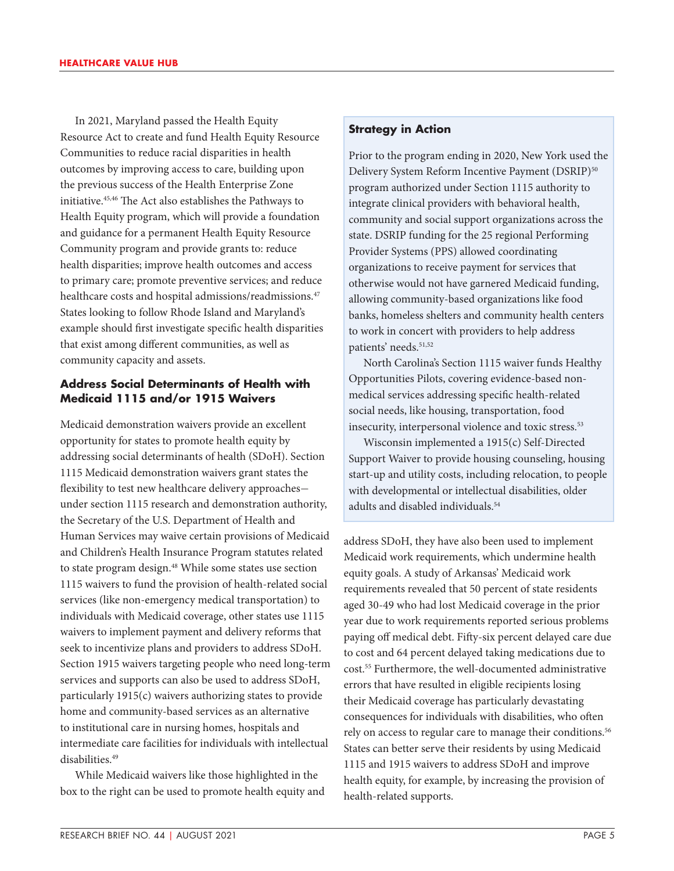In 2021, Maryland passed the Health Equity Resource Act to create and fund Health Equity Resource Communities to reduce racial disparities in health outcomes by improving access to care, building upon the previous success of the Health Enterprise Zone initiative.45,46 The Act also establishes the Pathways to Health Equity program, which will provide a foundation and guidance for a permanent Health Equity Resource Community program and provide grants to: reduce health disparities; improve health outcomes and access to primary care; promote preventive services; and reduce healthcare costs and hospital admissions/readmissions.<sup>47</sup> States looking to follow Rhode Island and Maryland's example should first investigate specific health disparities that exist among different communities, as well as community capacity and assets.

## **Address Social Determinants of Health with Medicaid 1115 and/or 1915 Waivers**

Medicaid demonstration waivers provide an excellent opportunity for states to promote health equity by addressing social determinants of health (SDoH). Section 1115 Medicaid demonstration waivers grant states the flexibility to test new healthcare delivery approaches under section 1115 research and demonstration authority, the Secretary of the U.S. Department of Health and Human Services may waive certain provisions of Medicaid and Children's Health Insurance Program statutes related to state program design.<sup>48</sup> While some states use section 1115 waivers to fund the provision of health-related social services (like non-emergency medical transportation) to individuals with Medicaid coverage, other states use 1115 waivers to implement payment and delivery reforms that seek to incentivize plans and providers to address SDoH. Section 1915 waivers targeting people who need long-term services and supports can also be used to address SDoH, particularly 1915(c) waivers authorizing states to provide home and community-based services as an alternative to institutional care in nursing homes, hospitals and intermediate care facilities for individuals with intellectual disabilities.<sup>49</sup>

While Medicaid waivers like those highlighted in the box to the right can be used to promote health equity and

## **Strategy in Action**

Prior to the program ending in 2020, New York used the Delivery System Reform Incentive Payment (DSRIP)<sup>50</sup> program authorized under Section 1115 authority to integrate clinical providers with behavioral health, community and social support organizations across the state. DSRIP funding for the 25 regional Performing Provider Systems (PPS) allowed coordinating organizations to receive payment for services that otherwise would not have garnered Medicaid funding, allowing community-based organizations like food banks, homeless shelters and community health centers to work in concert with providers to help address patients' needs.<sup>51,52</sup>

North Carolina's Section 1115 waiver funds Healthy Opportunities Pilots, covering evidence-based nonmedical services addressing specific health-related social needs, like housing, transportation, food insecurity, interpersonal violence and toxic stress.<sup>53</sup>

Wisconsin implemented a 1915(c) Self-Directed Support Waiver to provide housing counseling, housing start-up and utility costs, including relocation, to people with developmental or intellectual disabilities, older adults and disabled individuals.<sup>54</sup>

address SDoH, they have also been used to implement Medicaid work requirements, which undermine health equity goals. A study of Arkansas' Medicaid work requirements revealed that 50 percent of state residents aged 30-49 who had lost Medicaid coverage in the prior year due to work requirements reported serious problems paying off medical debt. Fifty-six percent delayed care due to cost and 64 percent delayed taking medications due to cost.55 Furthermore, the well-documented administrative errors that have resulted in eligible recipients losing their Medicaid coverage has particularly devastating consequences for individuals with disabilities, who often rely on access to regular care to manage their conditions.<sup>56</sup> States can better serve their residents by using Medicaid 1115 and 1915 waivers to address SDoH and improve health equity, for example, by increasing the provision of health-related supports.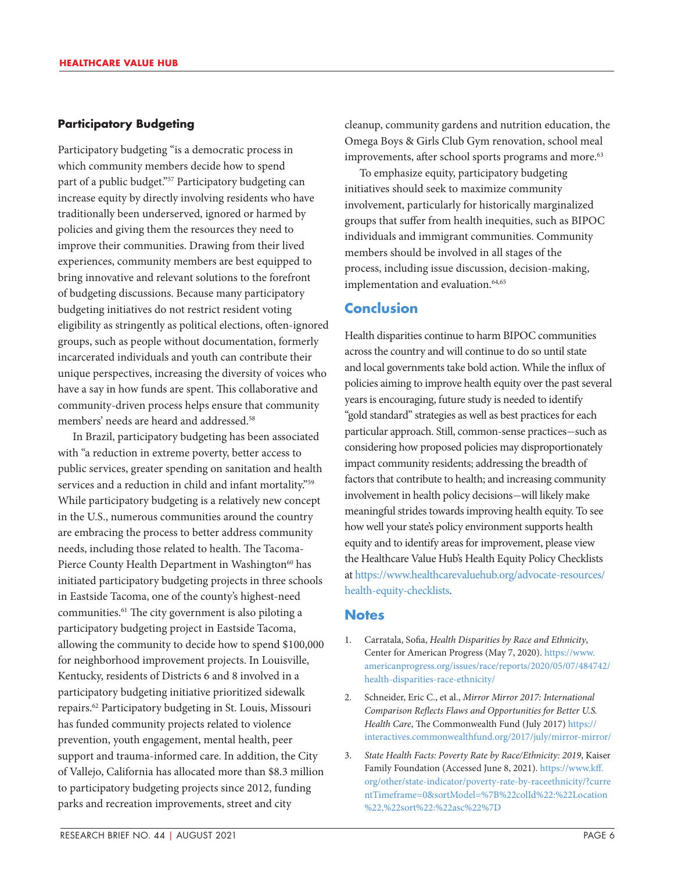#### **Participatory Budgeting**

Participatory budgeting "is a democratic process in which community members decide how to spend part of a public budget."<sup>57</sup> Participatory budgeting can increase equity by directly involving residents who have traditionally been underserved, ignored or harmed by policies and giving them the resources they need to improve their communities. Drawing from their lived experiences, community members are best equipped to bring innovative and relevant solutions to the forefront of budgeting discussions. Because many participatory budgeting initiatives do not restrict resident voting eligibility as stringently as political elections, often-ignored groups, such as people without documentation, formerly incarcerated individuals and youth can contribute their unique perspectives, increasing the diversity of voices who have a say in how funds are spent. This collaborative and community-driven process helps ensure that community members' needs are heard and addressed.58

In Brazil, participatory budgeting has been associated with "a reduction in extreme poverty, better access to public services, greater spending on sanitation and health services and a reduction in child and infant mortality."<sup>59</sup> While participatory budgeting is a relatively new concept in the U.S., numerous communities around the country are embracing the process to better address community needs, including those related to health. The Tacoma-Pierce County Health Department in Washington<sup>60</sup> has initiated participatory budgeting projects in three schools in Eastside Tacoma, one of the county's highest-need communities.<sup>61</sup> The city government is also piloting a participatory budgeting project in Eastside Tacoma, allowing the community to decide how to spend \$100,000 for neighborhood improvement projects. In Louisville, Kentucky, residents of Districts 6 and 8 involved in a participatory budgeting initiative prioritized sidewalk repairs.62 Participatory budgeting in St. Louis, Missouri has funded community projects related to violence prevention, youth engagement, mental health, peer support and trauma-informed care. In addition, the City of Vallejo, California has allocated more than \$8.3 million to participatory budgeting projects since 2012, funding parks and recreation improvements, street and city

cleanup, community gardens and nutrition education, the Omega Boys & Girls Club Gym renovation, school meal improvements, after school sports programs and more.<sup>63</sup>

To emphasize equity, participatory budgeting initiatives should seek to maximize community involvement, particularly for historically marginalized groups that suffer from health inequities, such as BIPOC individuals and immigrant communities. Community members should be involved in all stages of the process, including issue discussion, decision-making, implementation and evaluation.<sup>64,65</sup>

# **Conclusion**

Health disparities continue to harm BIPOC communities across the country and will continue to do so until state and local governments take bold action. While the influx of policies aiming to improve health equity over the past several years is encouraging, future study is needed to identify "gold standard" strategies as well as best practices for each particular approach. Still, common-sense practices—such as considering how proposed policies may disproportionately impact community residents; addressing the breadth of factors that contribute to health; and increasing community involvement in health policy decisions—will likely make meaningful strides towards improving health equity. To see how well your state's policy environment supports health equity and to identify areas for improvement, please view the Healthcare Value Hub's Health Equity Policy Checklists at https://www.healthcarevaluehub.org/advocate-resources/ health-equity-checklists.

## **Notes**

- 1. Carratala, Sofia, *Health Disparities by Race and Ethnicity*, Center for American Progress (May 7, 2020). [https://www.](https://www.americanprogress.org/issues/race/reports/2020/05/07/484742/health-disparities-race-ethnicity/) [americanprogress.org/issues/race/reports/2020/05/07/484742/](https://www.americanprogress.org/issues/race/reports/2020/05/07/484742/health-disparities-race-ethnicity/) [health-disparities-race-ethnicity/](https://www.americanprogress.org/issues/race/reports/2020/05/07/484742/health-disparities-race-ethnicity/)
- 2. Schneider, Eric C., et al., *Mirror Mirror 2017: International Comparison Reflects Flaws and Opportunities for Better U.S. Health Care*, The Commonwealth Fund (July 2017) [https://](https://interactives.commonwealthfund.org/2017/july/mirror-mirror/) [interactives.commonwealthfund.org/2017/july/mirror-mirror/](https://interactives.commonwealthfund.org/2017/july/mirror-mirror/)
- 3. *State Health Facts: Poverty Rate by Race/Ethnicity: 2019*, Kaiser Family Foundation (Accessed June 8, 2021). [https://www.kff.](https://www.kff.org/other/state-indicator/poverty-rate-by-raceethnicity/?currentTimeframe=0&sortModel=%7B%22colId%22:%22Location%22,%22sort%22:%22asc%22%7D) [org/other/state-indicator/poverty-rate-by-raceethnicity/?curre](https://www.kff.org/other/state-indicator/poverty-rate-by-raceethnicity/?currentTimeframe=0&sortModel=%7B%22colId%22:%22Location%22,%22sort%22:%22asc%22%7D) [ntTimeframe=0&sortModel=%7B%22colId%22:%22Location](https://www.kff.org/other/state-indicator/poverty-rate-by-raceethnicity/?currentTimeframe=0&sortModel=%7B%22colId%22:%22Location%22,%22sort%22:%22asc%22%7D) [%22,%22sort%22:%22asc%22%7D](https://www.kff.org/other/state-indicator/poverty-rate-by-raceethnicity/?currentTimeframe=0&sortModel=%7B%22colId%22:%22Location%22,%22sort%22:%22asc%22%7D)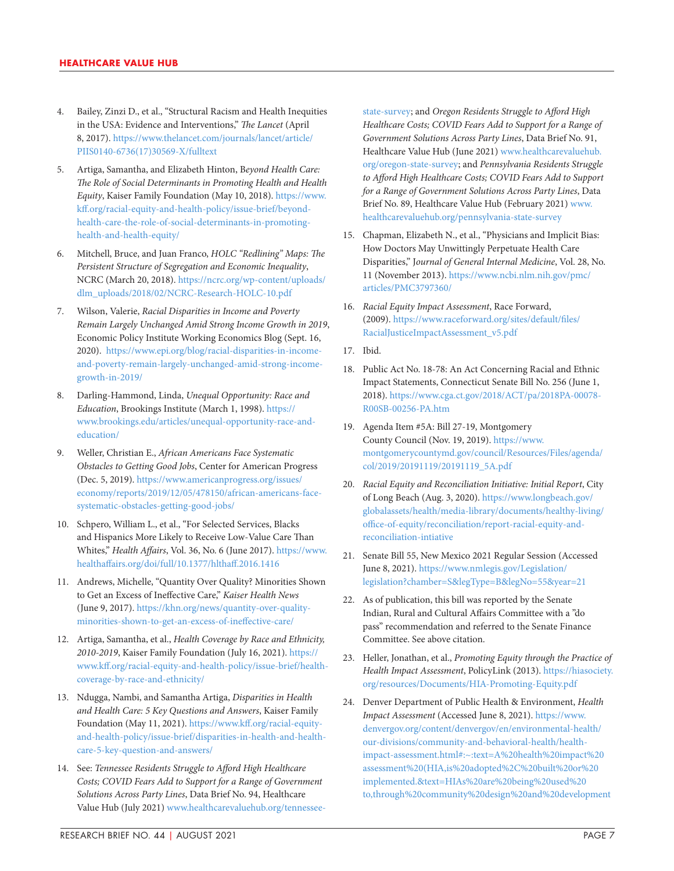- 4. Bailey, Zinzi D., et al., "Structural Racism and Health Inequities in the USA: Evidence and Interventions," *The Lancet* (April 8, 2017). [https://www.thelancet.com/journals/lancet/article/](https://www.thelancet.com/journals/lancet/article/PIIS0140-6736(17)30569-X/fulltext) [PIIS0140-6736\(17\)30569-X/fulltext](https://www.thelancet.com/journals/lancet/article/PIIS0140-6736(17)30569-X/fulltext)
- 5. Artiga, Samantha, and Elizabeth Hinton, B*eyond Health Care: The Role of Social Determinants in Promoting Health and Health Equity*, Kaiser Family Foundation (May 10, 2018). [https://www.](https://www.kff.org/racial-equity-and-health-policy/issue-brief/beyond-health-care-the-role-of-social-determinants-in-promoting-health-and-health-equity/) [kff.org/racial-equity-and-health-policy/issue-brief/beyond](https://www.kff.org/racial-equity-and-health-policy/issue-brief/beyond-health-care-the-role-of-social-determinants-in-promoting-health-and-health-equity/)[health-care-the-role-of-social-determinants-in-promoting](https://www.kff.org/racial-equity-and-health-policy/issue-brief/beyond-health-care-the-role-of-social-determinants-in-promoting-health-and-health-equity/)[health-and-health-equity/](https://www.kff.org/racial-equity-and-health-policy/issue-brief/beyond-health-care-the-role-of-social-determinants-in-promoting-health-and-health-equity/)
- 6. Mitchell, Bruce, and Juan Franco, *HOLC "Redlining" Maps: The Persistent Structure of Segregation and Economic Inequality*, NCRC (March 20, 2018). [https://ncrc.org/wp-content/uploads/](https://ncrc.org/wp-content/uploads/dlm_uploads/2018/02/NCRC-Research-HOLC-10.pdf) [dlm\\_uploads/2018/02/NCRC-Research-HOLC-10.pdf](https://ncrc.org/wp-content/uploads/dlm_uploads/2018/02/NCRC-Research-HOLC-10.pdf)
- 7. Wilson, Valerie, *Racial Disparities in Income and Poverty Remain Largely Unchanged Amid Strong Income Growth in 2019*, Economic Policy Institute Working Economics Blog (Sept. 16, 2020). [https://www.epi.org/blog/racial-disparities-in-income](https://www.epi.org/blog/racial-disparities-in-income-and-poverty-remain-largely-unchanged-amid-strong-income-growth-in-2019/)[and-poverty-remain-largely-unchanged-amid-strong-income](https://www.epi.org/blog/racial-disparities-in-income-and-poverty-remain-largely-unchanged-amid-strong-income-growth-in-2019/)[growth-in-2019/](https://www.epi.org/blog/racial-disparities-in-income-and-poverty-remain-largely-unchanged-amid-strong-income-growth-in-2019/)
- 8. Darling-Hammond, Linda, *Unequal Opportunity: Race and Education*, Brookings Institute (March 1, 1998). [https://](https://www.brookings.edu/articles/unequal-opportunity-race-and-education/) [www.brookings.edu/articles/unequal-opportunity-race-and](https://www.brookings.edu/articles/unequal-opportunity-race-and-education/)[education/](https://www.brookings.edu/articles/unequal-opportunity-race-and-education/)
- 9. Weller, Christian E., *African Americans Face Systematic Obstacles to Getting Good Jobs*, Center for American Progress (Dec. 5, 2019). [https://www.americanprogress.org/issues/](https://www.americanprogress.org/issues/economy/reports/2019/12/05/478150/african-americans-face-systematic-obstacles-getting-good-jobs/) [economy/reports/2019/12/05/478150/african-americans-face](https://www.americanprogress.org/issues/economy/reports/2019/12/05/478150/african-americans-face-systematic-obstacles-getting-good-jobs/)[systematic-obstacles-getting-good-jobs/](https://www.americanprogress.org/issues/economy/reports/2019/12/05/478150/african-americans-face-systematic-obstacles-getting-good-jobs/)
- 10. Schpero, William L., et al., "For Selected Services, Blacks and Hispanics More Likely to Receive Low-Value Care Than Whites," *Health Affairs*, Vol. 36, No. 6 (June 2017). [https://www.](https://www.healthaffairs.org/doi/full/10.1377/hlthaff.2016.1416) [healthaffairs.org/doi/full/10.1377/hlthaff.2016.1416](https://www.healthaffairs.org/doi/full/10.1377/hlthaff.2016.1416)
- 11. Andrews, Michelle, "Quantity Over Quality? Minorities Shown to Get an Excess of Ineffective Care," *Kaiser Health News* (June 9, 2017). [https://khn.org/news/quantity-over-quality](https://khn.org/news/quantity-over-quality-minorities-shown-to-get-an-excess-of-ineffective-care/)[minorities-shown-to-get-an-excess-of-ineffective-care/](https://khn.org/news/quantity-over-quality-minorities-shown-to-get-an-excess-of-ineffective-care/)
- 12. Artiga, Samantha, et al., *Health Coverage by Race and Ethnicity, 2010-2019*, Kaiser Family Foundation (July 16, 2021). [https://](https://www.kff.org/racial-equity-and-health-policy/issue-brief/health-coverage-by-race-and-ethnicity/) [www.kff.org/racial-equity-and-health-policy/issue-brief/health](https://www.kff.org/racial-equity-and-health-policy/issue-brief/health-coverage-by-race-and-ethnicity/)[coverage-by-race-and-ethnicity/](https://www.kff.org/racial-equity-and-health-policy/issue-brief/health-coverage-by-race-and-ethnicity/)
- 13. Ndugga, Nambi, and Samantha Artiga, *Disparities in Health and Health Care: 5 Key Questions and Answers*, Kaiser Family Foundation (May 11, 2021). [https://www.kff.org/racial-equity](https://www.kff.org/racial-equity-and-health-policy/issue-brief/disparities-in-health-and-health-care-5-key-question-and-answers/)[and-health-policy/issue-brief/disparities-in-health-and-health](https://www.kff.org/racial-equity-and-health-policy/issue-brief/disparities-in-health-and-health-care-5-key-question-and-answers/)[care-5-key-question-and-answers/](https://www.kff.org/racial-equity-and-health-policy/issue-brief/disparities-in-health-and-health-care-5-key-question-and-answers/)
- 14. See: *Tennessee Residents Struggle to Afford High Healthcare Costs; COVID Fears Add to Support for a Range of Government Solutions Across Party Lines*, Data Brief No. 94, Healthcare Value Hub (July 2021) [www.healthcarevaluehub.org/tennessee-](https://www.healthcarevaluehub.org/tennessee-state-survey)

[state-survey](https://www.healthcarevaluehub.org/tennessee-state-survey); and *Oregon Residents Struggle to Afford High Healthcare Costs; COVID Fears Add to Support for a Range of Government Solutions Across Party Lines*, Data Brief No. 91, Healthcare Value Hub (June 2021) [www.healthcarevaluehub.](https://www.healthcarevaluehub.org/oregon-state-survey) [org/oregon-state-survey](https://www.healthcarevaluehub.org/oregon-state-survey); and *Pennsylvania Residents Struggle to Afford High Healthcare Costs; COVID Fears Add to Support for a Range of Government Solutions Across Party Lines*, Data Brief No. 89, Healthcare Value Hub (February 2021) [www.](https://www.healthcarevaluehub.org/pennsylvania-state-survey) [healthcarevaluehub.org/pennsylvania-state-survey](https://www.healthcarevaluehub.org/pennsylvania-state-survey)

- 15. Chapman, Elizabeth N., et al., "Physicians and Implicit Bias: How Doctors May Unwittingly Perpetuate Health Care Disparities," J*ournal of General Internal Medicine*, Vol. 28, No. 11 (November 2013). [https://www.ncbi.nlm.nih.gov/pmc/](https://www.ncbi.nlm.nih.gov/pmc/articles/PMC3797360/) [articles/PMC3797360/](https://www.ncbi.nlm.nih.gov/pmc/articles/PMC3797360/)
- 16. *Racial Equity Impact Assessment*, Race Forward, (2009). [https://www.raceforward.org/sites/default/files/](https://www.raceforward.org/sites/default/files/RacialJusticeImpactAssessment_v5.pdf) [RacialJusticeImpactAssessment\\_v5.pdf](https://www.raceforward.org/sites/default/files/RacialJusticeImpactAssessment_v5.pdf)
- 17. Ibid.
- 18. Public Act No. 18-78: An Act Concerning Racial and Ethnic Impact Statements, Connecticut Senate Bill No. 256 (June 1, 2018). [https://www.cga.ct.gov/2018/ACT/pa/2018PA-00078-](https://www.cga.ct.gov/2018/ACT/pa/2018PA-00078-R00SB-00256-PA.htm) [R00SB-00256-PA.htm](https://www.cga.ct.gov/2018/ACT/pa/2018PA-00078-R00SB-00256-PA.htm)
- 19. Agenda Item #5A: Bill 27-19, Montgomery County Council (Nov. 19, 2019). [https://www.](https://www.montgomerycountymd.gov/council/Resources/Files/agenda/col/2019/20191119/20191119_5A.pdf) [montgomerycountymd.gov/council/Resources/Files/agenda/](https://www.montgomerycountymd.gov/council/Resources/Files/agenda/col/2019/20191119/20191119_5A.pdf) [col/2019/20191119/20191119\\_5A.pdf](https://www.montgomerycountymd.gov/council/Resources/Files/agenda/col/2019/20191119/20191119_5A.pdf)
- 20. *Racial Equity and Reconciliation Initiative: Initial Report*, City of Long Beach (Aug. 3, 2020). [https://www.longbeach.gov/](https://www.longbeach.gov/globalassets/health/media-library/documents/healthy-living/office-of-equity/reconciliation/report-racial-equity-and-reconciliation-intiative) [globalassets/health/media-library/documents/healthy-living/](https://www.longbeach.gov/globalassets/health/media-library/documents/healthy-living/office-of-equity/reconciliation/report-racial-equity-and-reconciliation-intiative) [office-of-equity/reconciliation/report-racial-equity-and](https://www.longbeach.gov/globalassets/health/media-library/documents/healthy-living/office-of-equity/reconciliation/report-racial-equity-and-reconciliation-intiative)[reconciliation-intiative](https://www.longbeach.gov/globalassets/health/media-library/documents/healthy-living/office-of-equity/reconciliation/report-racial-equity-and-reconciliation-intiative)
- 21. Senate Bill 55, New Mexico 2021 Regular Session (Accessed June 8, 2021). [https://www.nmlegis.gov/Legislation/](https://www.nmlegis.gov/Legislation/Legislation?chamber=S&legType=B&legNo=55&year=21) [legislation?chamber=S&legType=B&legNo=55&year=21](https://www.nmlegis.gov/Legislation/Legislation?chamber=S&legType=B&legNo=55&year=21)
- 22. As of publication, this bill was reported by the Senate Indian, Rural and Cultural Affairs Committee with a "do pass" recommendation and referred to the Senate Finance Committee. See above citation.
- 23. Heller, Jonathan, et al., *Promoting Equity through the Practice of Health Impact Assessment*, PolicyLink (2013). [https://hiasociety.](https://hiasociety.org/resources/Documents/HIA-Promoting-Equity.pdf) [org/resources/Documents/HIA-Promoting-Equity.pdf](https://hiasociety.org/resources/Documents/HIA-Promoting-Equity.pdf)
- 24. Denver Department of Public Health & Environment, *Health Impact Assessment* (Accessed June 8, 2021). https://www. denvergov.org/content/denvergov/en/environmental-health/ our-divisions/community-and-behavioral-health/healthimpact-assessment.html#:~:text=A%20health%20impact%20 assessment%20(HIA,is%20adopted%2C%20built%20or%20 implemented.&text=HIAs%20are%20being%20used%20 to,through%20community%20design%20and%20development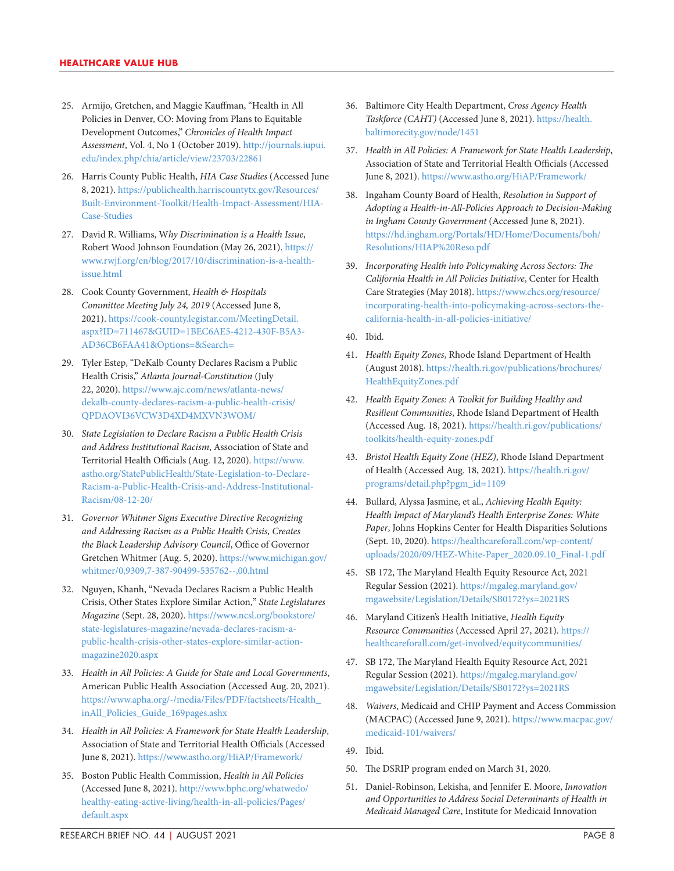- 25. Armijo, Gretchen, and Maggie Kauffman, "Health in All Policies in Denver, CO: Moving from Plans to Equitable Development Outcomes," *Chronicles of Health Impact Assessment*, Vol. 4, No 1 (October 2019). [http://journals.iupui.](http://journals.iupui.edu/index.php/chia/article/view/23703/22861) [edu/index.php/chia/article/view/23703/22861](http://journals.iupui.edu/index.php/chia/article/view/23703/22861)
- 26. Harris County Public Health, *HIA Case Studies* (Accessed June 8, 2021). [https://publichealth.harriscountytx.gov/Resources/](https://publichealth.harriscountytx.gov/Resources/Built-Environment-Toolkit/Health-Impact-Assessment/HIA-Case-Studies) [Built-Environment-Toolkit/Health-Impact-Assessment/HIA-](https://publichealth.harriscountytx.gov/Resources/Built-Environment-Toolkit/Health-Impact-Assessment/HIA-Case-Studies)[Case-Studies](https://publichealth.harriscountytx.gov/Resources/Built-Environment-Toolkit/Health-Impact-Assessment/HIA-Case-Studies)
- 27. David R. Williams, W*hy Discrimination is a Health Issue*, Robert Wood Johnson Foundation (May 26, 2021). [https://](https://www.rwjf.org/en/blog/2017/10/discrimination-is-a-health-issue.html) [www.rwjf.org/en/blog/2017/10/discrimination-is-a-health](https://www.rwjf.org/en/blog/2017/10/discrimination-is-a-health-issue.html)[issue.html](https://www.rwjf.org/en/blog/2017/10/discrimination-is-a-health-issue.html)
- 28. Cook County Government, *Health & Hospitals Committee Meeting July 24, 2019* (Accessed June 8, 2021). [https://cook-county.legistar.com/MeetingDetail.](https://cook-county.legistar.com/MeetingDetail.aspx?ID=711467&GUID=1BEC6AE5-4212-430F-B5A3-AD36CB6FAA41&Options=&Search=) [aspx?ID=711467&GUID=1BEC6AE5-4212-430F-B5A3-](https://cook-county.legistar.com/MeetingDetail.aspx?ID=711467&GUID=1BEC6AE5-4212-430F-B5A3-AD36CB6FAA41&Options=&Search=) [AD36CB6FAA41&Options=&Search=](https://cook-county.legistar.com/MeetingDetail.aspx?ID=711467&GUID=1BEC6AE5-4212-430F-B5A3-AD36CB6FAA41&Options=&Search=)
- 29. Tyler Estep, "DeKalb County Declares Racism a Public Health Crisis," *Atlanta Journal-Constitution* (July 22, 2020). [https://www.ajc.com/news/atlanta-news/](https://www.ajc.com/news/atlanta-news/dekalb-county-declares-racism-a-public-health-crisis/QPDAOVI36VCW3D4XD4MXVN3WOM/) [dekalb-county-declares-racism-a-public-health-crisis/](https://www.ajc.com/news/atlanta-news/dekalb-county-declares-racism-a-public-health-crisis/QPDAOVI36VCW3D4XD4MXVN3WOM/) [QPDAOVI36VCW3D4XD4MXVN3WOM/](https://www.ajc.com/news/atlanta-news/dekalb-county-declares-racism-a-public-health-crisis/QPDAOVI36VCW3D4XD4MXVN3WOM/)
- 30. *State Legislation to Declare Racism a Public Health Crisis and Address Institutional Racism*, Association of State and Territorial Health Officials (Aug. 12, 2020). [https://www.](https://www.astho.org/StatePublicHealth/State-Legislation-to-Declare-Racism-a-Public-Health-Crisis-and-Address-Institutional-Racism/08-12-20/) [astho.org/StatePublicHealth/State-Legislation-to-Declare-](https://www.astho.org/StatePublicHealth/State-Legislation-to-Declare-Racism-a-Public-Health-Crisis-and-Address-Institutional-Racism/08-12-20/)[Racism-a-Public-Health-Crisis-and-Address-Institutional-](https://www.astho.org/StatePublicHealth/State-Legislation-to-Declare-Racism-a-Public-Health-Crisis-and-Address-Institutional-Racism/08-12-20/)[Racism/08-12-20/](https://www.astho.org/StatePublicHealth/State-Legislation-to-Declare-Racism-a-Public-Health-Crisis-and-Address-Institutional-Racism/08-12-20/)
- 31. *Governor Whitmer Signs Executive Directive Recognizing and Addressing Racism as a Public Health Crisis, Creates the Black Leadership Advisory Council*, Office of Governor Gretchen Whitmer (Aug. 5, 2020). [https://www.michigan.gov/](https://www.michigan.gov/whitmer/0,9309,7-387-90499-535762--,00.html) [whitmer/0,9309,7-387-90499-535762--,00.html](https://www.michigan.gov/whitmer/0,9309,7-387-90499-535762--,00.html)
- 32. Nguyen, Khanh, "Nevada Declares Racism a Public Health Crisis, Other States Explore Similar Action," *State Legislatures Magazine* (Sept. 28, 2020). [https://www.ncsl.org/bookstore/](https://www.ncsl.org/bookstore/state-legislatures-magazine/nevada-declares-racism-a-public-health-crisis-other-states-explore-similar-action-magazine2020.aspx) [state-legislatures-magazine/nevada-declares-racism-a](https://www.ncsl.org/bookstore/state-legislatures-magazine/nevada-declares-racism-a-public-health-crisis-other-states-explore-similar-action-magazine2020.aspx)[public-health-crisis-other-states-explore-similar-action](https://www.ncsl.org/bookstore/state-legislatures-magazine/nevada-declares-racism-a-public-health-crisis-other-states-explore-similar-action-magazine2020.aspx)[magazine2020.aspx](https://www.ncsl.org/bookstore/state-legislatures-magazine/nevada-declares-racism-a-public-health-crisis-other-states-explore-similar-action-magazine2020.aspx)
- 33. *Health in All Policies: A Guide for State and Local Governments*, American Public Health Association (Accessed Aug. 20, 2021). [https://www.apha.org/-/media/Files/PDF/factsheets/Health\\_](https://www.apha.org/-/media/Files/PDF/factsheets/Health_inAll_Policies_Guide_169pages.ashx) [inAll\\_Policies\\_Guide\\_169pages.ashx](https://www.apha.org/-/media/Files/PDF/factsheets/Health_inAll_Policies_Guide_169pages.ashx)
- 34. *Health in All Policies: A Framework for State Health Leadership*, Association of State and Territorial Health Officials (Accessed June 8, 2021).<https://www.astho.org/HiAP/Framework/>
- 35. Boston Public Health Commission, *Health in All Policies* (Accessed June 8, 2021). [http://www.bphc.org/whatwedo/](http://www.bphc.org/whatwedo/healthy-eating-active-living/health-in-all-policies/Pages/default.aspx) [healthy-eating-active-living/health-in-all-policies/Pages/](http://www.bphc.org/whatwedo/healthy-eating-active-living/health-in-all-policies/Pages/default.aspx) [default.aspx](http://www.bphc.org/whatwedo/healthy-eating-active-living/health-in-all-policies/Pages/default.aspx)
- 36. Baltimore City Health Department, *Cross Agency Health Taskforce (CAHT)* (Accessed June 8, 2021). [https://health.](https://health.baltimorecity.gov/node/1451) [baltimorecity.gov/node/1451](https://health.baltimorecity.gov/node/1451)
- 37. *Health in All Policies: A Framework for State Health Leadership*, Association of State and Territorial Health Officials (Accessed June 8, 2021).<https://www.astho.org/HiAP/Framework/>
- 38. Ingaham County Board of Health, *Resolution in Support of Adopting a Health-in-All-Policies Approach to Decision-Making in Ingham County Government* (Accessed June 8, 2021). [https://hd.ingham.org/Portals/HD/Home/Documents/boh/](https://hd.ingham.org/Portals/HD/Home/Documents/boh/Resolutions/HIAP%20Reso.pdf) [Resolutions/HIAP%20Reso.pdf](https://hd.ingham.org/Portals/HD/Home/Documents/boh/Resolutions/HIAP%20Reso.pdf)
- 39. *Incorporating Health into Policymaking Across Sectors: The California Health in All Policies Initiative*, Center for Health Care Strategies (May 2018). [https://www.chcs.org/resource/](https://www.chcs.org/resource/incorporating-health-into-policymaking-across-sectors-the-california-health-in-all-policies-initiative/) [incorporating-health-into-policymaking-across-sectors-the](https://www.chcs.org/resource/incorporating-health-into-policymaking-across-sectors-the-california-health-in-all-policies-initiative/)[california-health-in-all-policies-initiative/](https://www.chcs.org/resource/incorporating-health-into-policymaking-across-sectors-the-california-health-in-all-policies-initiative/)
- 40. Ibid.
- 41. *Health Equity Zones*, Rhode Island Department of Health (August 2018). [https://health.ri.gov/publications/brochures/](https://health.ri.gov/publications/brochures/HealthEquityZones.pdf) [HealthEquityZones.pdf](https://health.ri.gov/publications/brochures/HealthEquityZones.pdf)
- 42. *Health Equity Zones: A Toolkit for Building Healthy and Resilient Communities*, Rhode Island Department of Health (Accessed Aug. 18, 2021). [https://health.ri.gov/publications/](https://health.ri.gov/publications/toolkits/health-equity-zones.pdf) [toolkits/health-equity-zones.pdf](https://health.ri.gov/publications/toolkits/health-equity-zones.pdf)
- 43. *Bristol Health Equity Zone (HEZ)*, Rhode Island Department of Health (Accessed Aug. 18, 2021). [https://health.ri.gov/](https://health.ri.gov/programs/detail.php?pgm_id=1109) [programs/detail.php?pgm\\_id=1109](https://health.ri.gov/programs/detail.php?pgm_id=1109)
- 44. Bullard, Alyssa Jasmine, et al., *Achieving Health Equity: Health Impact of Maryland's Health Enterprise Zones: White Paper*, Johns Hopkins Center for Health Disparities Solutions (Sept. 10, 2020). [https://healthcareforall.com/wp-content/](https://healthcareforall.com/wp-content/uploads/2020/09/HEZ-White-Paper_2020.09.10_Final-1.pdf) [uploads/2020/09/HEZ-White-Paper\\_2020.09.10\\_Final-1.pdf](https://healthcareforall.com/wp-content/uploads/2020/09/HEZ-White-Paper_2020.09.10_Final-1.pdf)
- 45. SB 172, The Maryland Health Equity Resource Act, 2021 Regular Session (2021). [https://mgaleg.maryland.gov/](https://mgaleg.maryland.gov/mgawebsite/Legislation/Details/SB0172?ys=2021RS) [mgawebsite/Legislation/Details/SB0172?ys=2021RS](https://mgaleg.maryland.gov/mgawebsite/Legislation/Details/SB0172?ys=2021RS)
- 46. Maryland Citizen's Health Initiative, *Health Equity Resource Communities* (Accessed April 27, 2021). [https://](https://healthcareforall.com/get-involved/equitycommunities/) [healthcareforall.com/get-involved/equitycommunities/](https://healthcareforall.com/get-involved/equitycommunities/)
- 47. SB 172, The Maryland Health Equity Resource Act, 2021 Regular Session (2021). [https://mgaleg.maryland.gov/](https://mgaleg.maryland.gov/mgawebsite/Legislation/Details/SB0172?ys=2021RS) [mgawebsite/Legislation/Details/SB0172?ys=2021RS](https://mgaleg.maryland.gov/mgawebsite/Legislation/Details/SB0172?ys=2021RS)
- 48. *Waivers*, Medicaid and CHIP Payment and Access Commission (MACPAC) (Accessed June 9, 2021). [https://www.macpac.gov/](https://www.macpac.gov/medicaid-101/waivers/) [medicaid-101/waivers/](https://www.macpac.gov/medicaid-101/waivers/)
- 49. Ibid.
- 50. The DSRIP program ended on March 31, 2020.
- 51. Daniel-Robinson, Lekisha, and Jennifer E. Moore, *Innovation and Opportunities to Address Social Determinants of Health in Medicaid Managed Care*, Institute for Medicaid Innovation